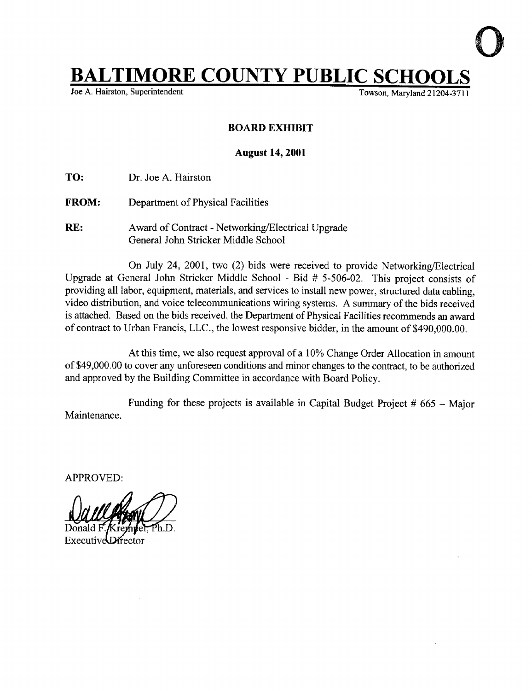## **BALTIMORE COUNTY PUBLIC SCHOOLS**<br>Joe A. Hairston, Superintendent

Joe A. Hairston, Superintendent

## BOARD EXHIBIT

## August 14, 2001

TO: Dr. Joe A. Hairston

- FROM: Department of Physical Facilities
- RE: Award of Contract Networking/Electrical Upgrade General John Stricker Middle School

On July 24, 2001, two (2) bids were received to provide Networking/Electrical Upgrade at General John Stricker Middle School - Bid # 5-506-02. This project consists of providing all labor, equipment, materials, and services to install new power, structured data cabling, video distribution, and voice telecommunications wiring systems. A summary of the bids received is attached. Based on the bids received, the Department of Physical Facilities recommends an award of contract to Urban Francis, LLC ., the lowest responsive bidder, in the amount of \$490,000 .00.

At this time, we also request approval of <sup>a</sup> 10% Change Order Allocation in amount of \$49,000 .00 to cover any unforeseen conditions and minor changes to the contract, to be authorized and approved by the Building Committee in accordance with Board Policy.

Maintenance . Funding for these projects is available in Capital Budget Project  $#665 - \text{Major}$ 

APPROVED:

Executive